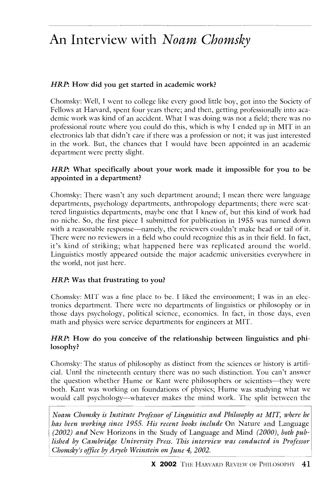# An Interview with *Noam Chomsky*

## HRP: How did you get started in academic work?

Chomsky: Well, I went to college like every good little boy, got into the Society of Fellows at Harvard, spent four years there; and then, getting professionally into academic work was kind of an accident. What I was doing was not a field; there was no professional route where you could do this, which is why I ended up in MIT in an electronics lab that didn't care if there was a profession or not; it was just interested in the work. But, the chances that I would have been appointed in an academic department were pretty slight,

#### *HRP*: What specifically about your work made it impossible for you to be appointed in a department?

Chomsky: There wasn't any such department around; I mean there were language departments, psychology departments, anthropology departments; there were scattered linguistics departments, maybe one that I knew of, but this kind of work had no niche. So, the fIrst piece I submitted for publication in 19S5 was turned down with a reasonable response—namely, the reviewers couldn't make head or tail of it. There were no reviewers in a field who could recognize this as in their field. In fact, it's kind of striking; what happened here was replicated around the world. Linguistics mostly appeared outside the major academic universities everywhere in the world, not just here.

#### *HRP*: Was that frustrating to you?

Chomsky: MIT was a fine place to be. I liked the environment; I was in an electronics department. There were no departments of linguistics or philosophy or in those days psychology, political science, economics. In fact, in those days, even math and physics were service departments for engineers at MIT.

#### *HRP*: How do you conceive of the relationship between linguistics and philosophy?

Chomsky: The status of philosophy as distinct from the sciences or history is artificia!. Until the nineteenth century there was no such distinction, You can't answer the question whether Hume or Kant were philosophers or scientists-they were both. Kant was working on foundations of physics; Hume was studying what we would call psychology—whatever makes the mind work. The split between the

*Noam Chomsky is Institltte Professor of Linguistics and Philosophy at MIT, where he has been working since 1955. His recent books include* On Nature and Language *(2002) and* New Horizons in the Study of Language and Mind *(2000), both published by Cambridge University Press. This interview was conducted in Professor Chomsky's office by Aryeh Weinstein on June 4, 2002.*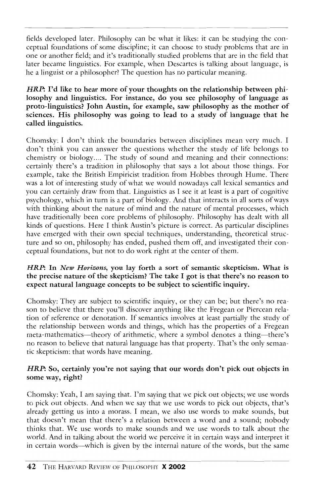fields developed later. Philosophy can be what it likes: it can be studying the conceptual foundations of some discipline; it can choose to study problems that are in one or another field; and it's traditionally studied problems that are in the tield that later became linguistics. For example, when Descartes is talking about language, is he a linguist or a philosopher? The question has no particular meaning.

*HRP*: I'd like to hear more of your thoughts on the relationship between philosophy and linguistics. For instance, do you see philosophy of language as proto-linguistics? John Austin, for example, saw philosophy as the mother of sciences. His philosophy was going to lead to a study of language that he called linguistics.

Chomsky: I don't think the boundaries between disciplines mean very much. I don't think you can answer the questions whether the study of life belongs to chemistry or biology .... The study of sound and meaning and their connections: certainly there's a tradition in philosophy that says a lot about those things. For example, take the British Empiricist tradition from Hobbes through Hume. There was a lot of interesting study of what we would nowadays call lexical semantics and you can certainly draw from that. Linguistics as I see it at least is a part of cognitiye psychology, which in turn is a part of biology. And that interacts in all sorts of ways with thinking about the nature of mind and the nature of mental processes, which have traditionally been core problems of philosophy. Philosophy has dealt with all kinds of questions. Here I think Austin's picture is correct. As particular disciplines have emerged with their own special techniques, understanding, theoretical structure and so on, philosophy has ended, pushed them off, and investigated their conceptual foundations, but not to do work right at the center of them.

#### *HRP:* In *New Horizons,* you lay forth a sort of semantic skepticism. What is the precise nature of the skepticism? The take I got is that there's no reason to expect natural language concepts to be subject to scientific inquiry.

Chomsky: They are subject to scientific inquiry, or they can be; but there's no reason to belieye that there vou'll discover anything like the Fregean or Piercean relation of reference or denotation. If semantics involves at least partially the study of the relationship between words and things, which has the properties of a Fregean meta-mathematics-theory of arithmetic, where a symbol denotes a thing-there's no reason to believe that natural language has that property. That's the only semantic skepticism: that words have meaning.

## *HRP:* So, certainly you're not saying that our words don't pick out objects in some way, right?

Chomsky: Yeah, I am saving that. I'm saying that we pick out objects; we use words to pick out objects. And when we say that we use words to pick out objects, that's already getting us into a morass. I mean, we also use words to make sounds, but that doesn't mean that there's a relation between a word and a sound; nobody thinks that. We use words to make sounds and we use words to talk about the world. And in talking about the world we perceive it in certain ways and interpret it in certain words-which is given by the internal nature of the words, but the same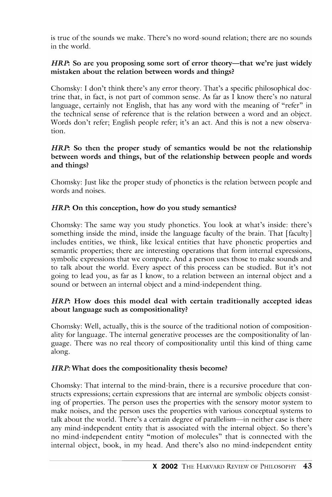is true of the sounds we make. There's no word-sound relation; there are no sounds in the world.

#### *HRP*: So are you proposing some sort of error theory—that we're just widely mistaken about the relation between words and things?

Chomsky: I don't think there's any error theory. That's a specific philosophical doctrine that, in tact, is not part of common sense. As far as I know there's no natural language, certainly not English, that has any word with the meaning of "refer" in the technical sense of reference that is the relation between a word and an object. Words don't refer; English people refer; it's an act. And this is not a new observation.

#### *HRP*: So then the proper study of semantics would be not the relationship between words and things, but of the relationship between people and words and things?

Chomsky: Just like the proper study of phonetics is the relation between people and words and noises.

## *HRP*: On this conception, how do you study semantics?

Chomsky: The same way you study phonetics. You look at what's inside: there's something inside the mind, inside the language faculty of the brain. That [faculty] includes entities, we think, like lexical entities that have phonetic properties and semantic properties; there are interesting operations that fonn internal expressions, symbolic expressions that we compute. And a person uses those to make sounds and to talk about the world. Every aspect of this process can be studied. But it's not going to lead you, as far as I know, to a relation between an internal object and a sound or between an internal object and a mind-independent thing.

#### HRP: How does this model deal with certain traditionally accepted ideas about language such as compositionality?

Chomsky: Well, actually, this is the source of the traditional notion of compositionality for language. The internal generative processes are the compositionality of language. There was no real theory of compositionality until this kind of thing came along.

#### *HRP*: What does the compositionality thesis become?

Chomsky: That internal to the mind-brain, there is a recursive procedure that constructs expressions; certain expressions that are internal are symbolic objects consisting of properties. The person uses the properties with the sensory motor system to make noises, and the person uses the properties with various conceptual systems to talk about the world. There's a certain degree of parallelism-in neither case is there any mind-independent entity that is associated with the internal object. So there's no mind-independent entity "motion of molecules" that is connected with the internal object, book, in my head. And there's also no mind-independent entity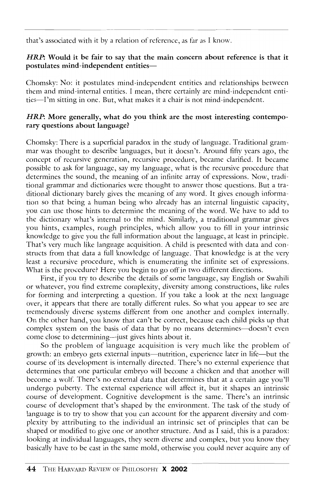that's associated with it by a relation of reference, as far as I know.

#### *HRP:* Would it be fair to say that the main concern about reference is that it postulates mind-independent entities-

Chomsky: No: it postulates mind-independent entities and relationships between them and mind-internal entities. I mean, there certainly are mind-independent entities-I'm sitting in one. But, what makes it a chair is not mind-indcpcndent.

#### *HRP*: More generally, what do you think are the most interesting contemporary questions about language?

Chomsky: There is a superficial paradox in the study of language. Traditional grammar was thought to describe languages, but it doesn't. Around fifty years ago, the concept of recursive generation, recursive procedure, became clarified. It became possible to ask for language, say my language, what is the recursive procedure that detcrmines the sound, the meaning of an infinite array of expressions. Now, traditional grammar and dictionaries were thought to answer those questions. But a traditional dictionary barely gives the meaning of any word. It gives enough information so that being a human being who already has an internal linguistic capacity, you can use those hints to determine the meaning of the word. We have to add to the dictionary what's internal to the mind. Similarly, a traditional grammar gives you hints, examples, rough principles, which allow you to fill in your intrinsic knowledge to give you the full information about the language, at least in principle. That's very much like language acquisition. A child is prcscnted with data and constructs from that data a full knowledge of language. That knowledgc is at the very least a recursive procedure, which is enumerating the infinite set of expressions. What is the procedure? Here you begin to go off in two different directions.

First, if you try to describe the details of some language, say English or Swahili or whatever, you find extreme complexity, diversity among constructions, like rules for forming and interpreting a question. If you take a look at the next language over, it appears that there are totally different rules. So what you appear to see are tremendously diverse systems different from one another and complex internally. On the other hand, you know that can't be correct, because each child picks up that complex system on the basis of data that by no means determines-doesn't even come close to determining-just gives hints about it.

So the problem of language acquisition is very much like the problem of growth: an embryo gets external inputs-nutrition, experience later in life-but the course of its development is internally directed. There's no external experience that determines that one particular embryo will become a chicken and that another will become a wolf. There's no external data that determines that at a certain age you'll undergo puberty. The external experience will affect it, but it shapes an intrinsic course of development. Cognitive development is the same. There's an intrinsic course of development that's shaped by the environment. The task of the study of language is to try to show that you can account for the apparent diversity and complexity by attributing to the individual an intrinsic set of principles that can be shaped or modified to give one or another structure. And as I said, this is a paradox: looking at individual languages, they seem diverse and complex, but you know they basically have to be cast in the same mold, otherwise you could never acquire any of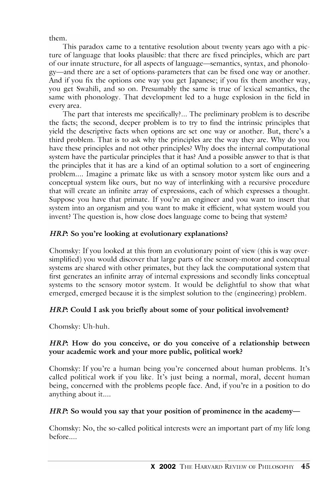them.

This paradox came to a tentative resolution about twenty years ago with a picture of language that looks plausible: that there are fixed principles, which are part of our innate structure, for all aspects of language—semantics, syntax, and phonology-and there are a set of options-parameters that can be fixed one way or another. And if you fix the options one way you get Japanese; if you fix them another way, you get Swahili, and so on. Presumably the same is true of lexical semantics, the same with phonology. That development led to a huge explosion in the field in every area.

The part that interests me specifically? .. The preliminary problem is to describe the facts; the second, deeper problem is to try to find the intrinsic principles that yield the descriptive facts when options are set one way or another. But, there's a third problem. That is to ask why the principles are the way they are. Why do you have these principles and not other principles? Why does the internal computational system have the particular principles that it has? And a possible answer to that is that the principles that it has are a kind of an optimal solution to a sort of engineering problem.... Imagine a primate like us with a sensory motor system like ours and a conceptual system like ours, but no way of interlinking with a recursive procedure that will create an infinite array of expressions, each of which expresses a thought. Suppose you have that primate. If you're an engineer and you want to insert that system into an organism and you want to make it efficient, what system would you invent? The question is, how close does language come to being that system?

# *HRP*: So you're looking at evolutionary explanations?

Chomsky: If you looked at this from an evolutionary point of view (this is way oversimplified) you would discover that large parts of the sensory-motor and conceptual systems are shared with other primates, but they lack the computational system that first generates an infinite array of internal expressions and secondly links conceptual systems to the sensory motor system. It would be delightful to show that what emerged, emerged because it is the simplest solution to the (engineering) problem.

# *HRP*: Could I ask you briefly about some of your political involvement?

Chomsky: Dh-huh.

# *HRP*: How do you conceive, or do you conceive of a relationship between your academic work and your more public, political work?

Chomsky: If you're a human being you're concerned about human problems. It's called political work if you like. It's just being a normal, moral, decent human being, concerned with the problems people face. And, if you're in a position to do anything about it....

# *HRP*: So would you say that your position of prominence in the academy-

Chomsky: No, the so-called political interests were an important part of my life long before....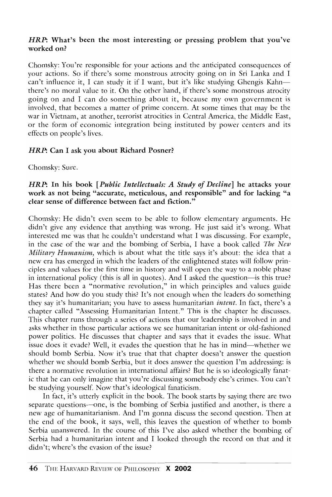#### *HRP:* What's been the most interesting or pressing problem that you've worked on?

Chomsky: You're responsible for your actions and the anticipated consequences of your actions. So if thcrc's some monstrous atrocity going on in Sri Lanka and I can't influence it, I can study it if I want, but it's like studying Ghengis Kahnthcrc's no moral valuc to it. On the other hand, if therc's some monstrous atrocity going on and I can do somcthing about it, becausc my own govcrnmcnt is involved, that becomes a matter of prime concern. At some timcs that may be the war in Vietnam, at another, terrorist atrocities in Central Amcrica, thc Middle East, or the form of economic integration being instituted by power centers and its effects on people's lives.

#### *HRP*: Can I ask you about Richard Posner?

Chomsky: Sure.

#### *HRP:* **In** his book *[Public Intellectuals: A Study of Decline]* he attacks your work as not being "accurate, meticulous, and responsible" and for lacking "a clear sense of difference between fact and fiction."

Chomsky: He didn't even seem to be able to follow elementary arguments. He didn't givc any evidcncc that anything was wrong. He just said it's wrong. What interested me was that he couldn't understand what I was discussing. For cxample, in the case of thc war and thc bombing of Serbia, I havc a book callcd *The New Military Humanism,* which is about what thc title savs it's about: thc idea that a new era has emerged in which the leaders of the enlightened states will follow principles and values for the first time in history and will open the way to a noble phase in international policy (this is all in quotes). And I asked the question—is this true? Has there been a "normative revolution," in which principles and values guidc states? And how do you study this? It's not enough when the leaders do somcthing they say it's humanitarian; you have to assess humanitarian *intent.* In fact, thcre's a chapter called "Assessing Humanitarian Intent." This is the chapter he discusses. This chapter runs through a series of actions that our leadership is involved in and asks whether in those particular actions wc sce humanitarian intent or old-fashioned powcr politics. He discusses that chaptcr and says that it evades the issue. What issue does it evade? Well, it evades the question that he has in mind-whether we should bomh Serbia. Now it's true that that chapter doesn't answer the question whether we should bomb Serbia, but it does answer the question I'm addressing: is there a normative revolution in international affairs? But he is so ideologically fanatic that he can onlv imagine that you're discussing somehodv else's crimes. You can't be studying yourself. Now that's idcological fanaticism.

In fact, it's utterly explicit in the book. The book starts by saying there are two separate questions-one, is the bombing of Serbia justified and another, is there a new age of humanitarianism. And I'm gonna discuss the sccond question. Then at the end of the book, it says, well, this leaves the question of whether to bomb Serbia unanswered. In the course of this I've also asked whether the bombing of Serbia had a humanitarian intent and I looked through the record on that and it didn't; where's the evasion of the issue?